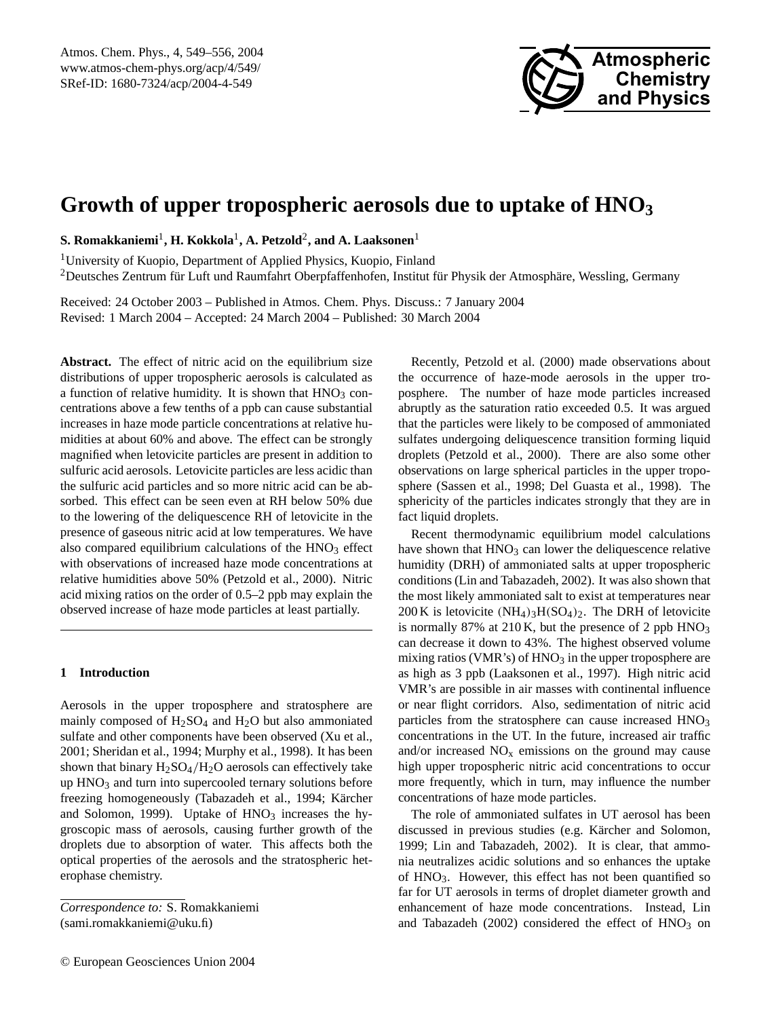

# **Growth of upper tropospheric aerosols due to uptake of HNO<sup>3</sup>**

 ${\bf S.}$  Romakkaniemi $^1$ , **H.** Kokkola $^1$ , A. Petzold $^2$ , and A. Laaksonen $^1$ 

<sup>1</sup>University of Kuopio, Department of Applied Physics, Kuopio, Finland  $2$ Deutsches Zentrum für Luft und Raumfahrt Oberpfaffenhofen, Institut für Physik der Atmosphäre, Wessling, Germany

Received: 24 October 2003 – Published in Atmos. Chem. Phys. Discuss.: 7 January 2004 Revised: 1 March 2004 – Accepted: 24 March 2004 – Published: 30 March 2004

Abstract. The effect of nitric acid on the equilibrium size distributions of upper tropospheric aerosols is calculated as a function of relative humidity. It is shown that  $HNO<sub>3</sub>$  concentrations above a few tenths of a ppb can cause substantial increases in haze mode particle concentrations at relative humidities at about 60% and above. The effect can be strongly magnified when letovicite particles are present in addition to sulfuric acid aerosols. Letovicite particles are less acidic than the sulfuric acid particles and so more nitric acid can be absorbed. This effect can be seen even at RH below 50% due to the lowering of the deliquescence RH of letovicite in the presence of gaseous nitric acid at low temperatures. We have also compared equilibrium calculations of the  $HNO<sub>3</sub>$  effect with observations of increased haze mode concentrations at relative humidities above 50% (Petzold et al., 2000). Nitric acid mixing ratios on the order of 0.5–2 ppb may explain the observed increase of haze mode particles at least partially.

# **1 Introduction**

Aerosols in the upper troposphere and stratosphere are mainly composed of  $H<sub>2</sub>SO<sub>4</sub>$  and  $H<sub>2</sub>O$  but also ammoniated sulfate and other components have been observed (Xu et al., 2001; Sheridan et al., 1994; Murphy et al., 1998). It has been shown that binary  $H_2SO_4/H_2O$  aerosols can effectively take up  $HNO<sub>3</sub>$  and turn into supercooled ternary solutions before freezing homogeneously (Tabazadeh et al., 1994; Kärcher and Solomon, 1999). Uptake of  $HNO<sub>3</sub>$  increases the hygroscopic mass of aerosols, causing further growth of the droplets due to absorption of water. This affects both the optical properties of the aerosols and the stratospheric heterophase chemistry.

*Correspondence to:* S. Romakkaniemi (sami.romakkaniemi@uku.fi)

Recently, Petzold et al. (2000) made observations about the occurrence of haze-mode aerosols in the upper troposphere. The number of haze mode particles increased abruptly as the saturation ratio exceeded 0.5. It was argued that the particles were likely to be composed of ammoniated sulfates undergoing deliquescence transition forming liquid droplets (Petzold et al., 2000). There are also some other observations on large spherical particles in the upper troposphere (Sassen et al., 1998; Del Guasta et al., 1998). The sphericity of the particles indicates strongly that they are in fact liquid droplets.

Recent thermodynamic equilibrium model calculations have shown that  $HNO<sub>3</sub>$  can lower the deliquescence relative humidity (DRH) of ammoniated salts at upper tropospheric conditions (Lin and Tabazadeh, 2002). It was also shown that the most likely ammoniated salt to exist at temperatures near 200 K is letovicite  $(NH_4)_3H(SO_4)_2$ . The DRH of letovicite is normally 87% at 210 K, but the presence of 2 ppb  $HNO<sub>3</sub>$ can decrease it down to 43%. The highest observed volume mixing ratios (VMR's) of  $HNO<sub>3</sub>$  in the upper troposphere are as high as 3 ppb (Laaksonen et al., 1997). High nitric acid VMR's are possible in air masses with continental influence or near flight corridors. Also, sedimentation of nitric acid particles from the stratosphere can cause increased HNO<sub>3</sub> concentrations in the UT. In the future, increased air traffic and/or increased  $NO<sub>x</sub>$  emissions on the ground may cause high upper tropospheric nitric acid concentrations to occur more frequently, which in turn, may influence the number concentrations of haze mode particles.

The role of ammoniated sulfates in UT aerosol has been discussed in previous studies (e.g. Kärcher and Solomon, 1999; Lin and Tabazadeh, 2002). It is clear, that ammonia neutralizes acidic solutions and so enhances the uptake of HNO3. However, this effect has not been quantified so far for UT aerosols in terms of droplet diameter growth and enhancement of haze mode concentrations. Instead, Lin and Tabazadeh (2002) considered the effect of  $HNO<sub>3</sub>$  on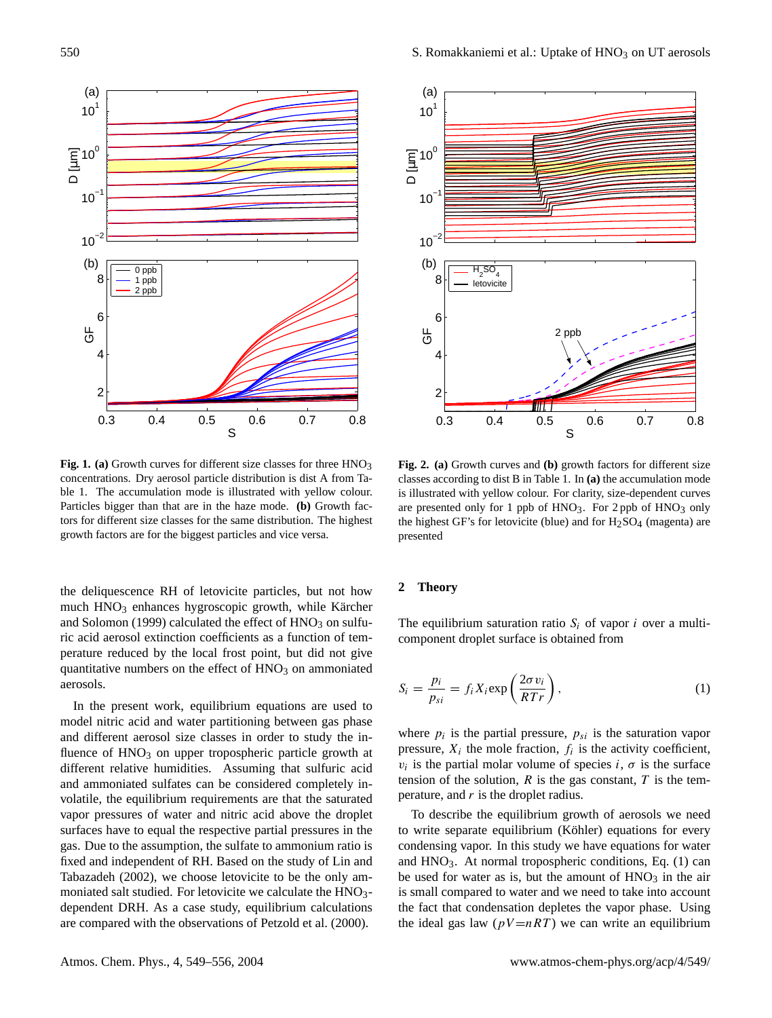

Fig. 1. (a) Growth curves for different size classes for three HNO<sub>3</sub> concentrations. Dry aerosol particle distribution is dist A from Table 1. The accumulation mode is illustrated with yellow colour. Particles bigger than that are in the haze mode. **(b)** Growth factors for different size classes for the same distribution. The highest growth factors are for the biggest particles and vice versa.

the deliquescence RH of letovicite particles, but not how much  $HNO<sub>3</sub>$  enhances hygroscopic growth, while Kärcher and Solomon (1999) calculated the effect of  $HNO<sub>3</sub>$  on sulfuric acid aerosol extinction coefficients as a function of temperature reduced by the local frost point, but did not give quantitative numbers on the effect of  $HNO<sub>3</sub>$  on ammoniated aerosols.

In the present work, equilibrium equations are used to model nitric acid and water partitioning between gas phase and different aerosol size classes in order to study the influence of  $HNO<sub>3</sub>$  on upper tropospheric particle growth at different relative humidities. Assuming that sulfuric acid and ammoniated sulfates can be considered completely involatile, the equilibrium requirements are that the saturated vapor pressures of water and nitric acid above the droplet surfaces have to equal the respective partial pressures in the gas. Due to the assumption, the sulfate to ammonium ratio is fixed and independent of RH. Based on the study of Lin and Tabazadeh (2002), we choose letovicite to be the only ammoniated salt studied. For letovicite we calculate the HNO<sub>3</sub>dependent DRH. As a case study, equilibrium calculations are compared with the observations of Petzold et al. (2000).



**Fig. 2. (a)** Growth curves and **(b)** growth factors for different size classes according to dist B in Table 1. In **(a)** the accumulation mode is illustrated with yellow colour. For clarity, size-dependent curves are presented only for 1 ppb of  $HNO<sub>3</sub>$ . For 2 ppb of  $HNO<sub>3</sub>$  only the highest GF's for letovicite (blue) and for  $H_2SO_4$  (magenta) are presented

## **2 Theory**

The equilibrium saturation ratio  $S_i$  of vapor i over a multicomponent droplet surface is obtained from

$$
S_i = \frac{p_i}{p_{si}} = f_i X_i \exp\left(\frac{2\sigma v_i}{RTr}\right),\tag{1}
$$

where  $p_i$  is the partial pressure,  $p_{si}$  is the saturation vapor pressure,  $X_i$  the mole fraction,  $f_i$  is the activity coefficient,  $v_i$  is the partial molar volume of species  $i, \sigma$  is the surface tension of the solution,  $R$  is the gas constant,  $T$  is the temperature, and  $r$  is the droplet radius.

To describe the equilibrium growth of aerosols we need to write separate equilibrium (Köhler) equations for every condensing vapor. In this study we have equations for water and  $HNO<sub>3</sub>$ . At normal tropospheric conditions, Eq. (1) can be used for water as is, but the amount of  $HNO<sub>3</sub>$  in the air is small compared to water and we need to take into account the fact that condensation depletes the vapor phase. Using the ideal gas law  $(pV=nRT)$  we can write an equilibrium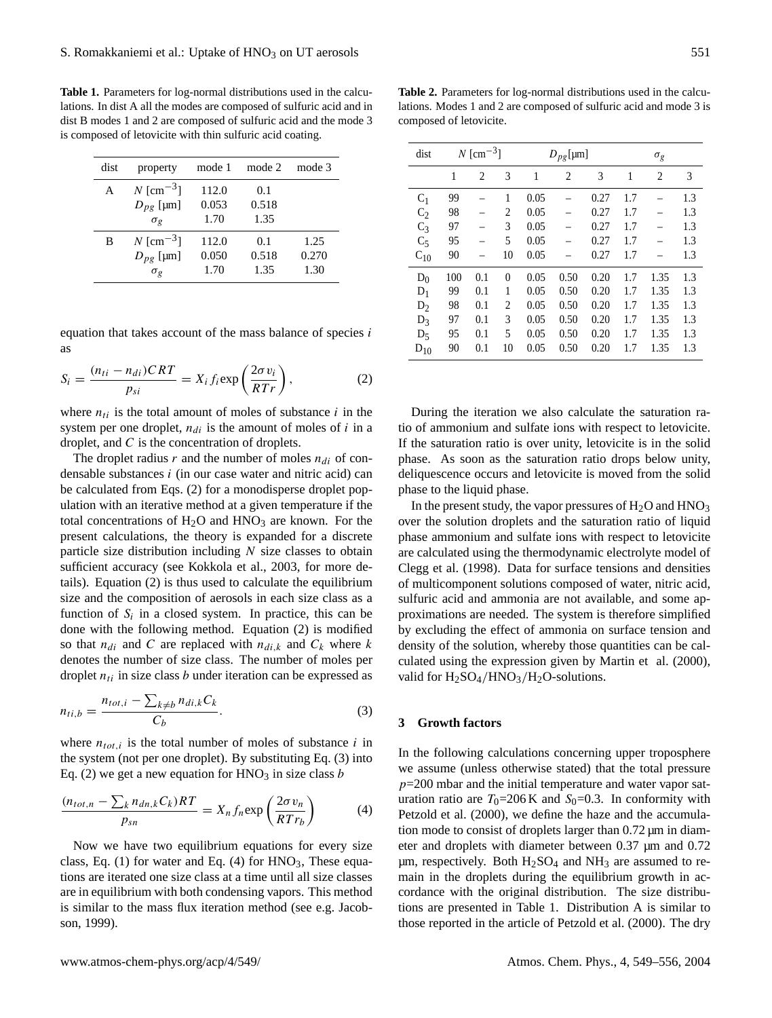**Table 1.** Parameters for log-normal distributions used in the calculations. In dist A all the modes are composed of sulfuric acid and in dist B modes 1 and 2 are composed of sulfuric acid and the mode 3 is composed of letovicite with thin sulfuric acid coating.

| dist | property                | mode 1 | mode 2 | mode 3 |
|------|-------------------------|--------|--------|--------|
| А    | $N$ [cm <sup>-3</sup> ] | 112.0  | 0.1    |        |
|      | $D_{pg}$ [µm]           | 0.053  | 0.518  |        |
|      | $\sigma_{\varrho}$      | 1.70   | 1.35   |        |
| В    | $N$ [cm <sup>-3</sup> ] | 112.0  | 0.1    | 1.25   |
|      | $D_{pg}$ [µm]           | 0.050  | 0.518  | 0.270  |
|      | $\sigma_{\varrho}$      | 1.70   | 1.35   | 1.30   |

equation that takes account of the mass balance of species  $i$ as

$$
S_i = \frac{(n_{ti} - n_{di})CRT}{p_{si}} = X_i f_i \exp\left(\frac{2\sigma v_i}{RTr}\right),\tag{2}
$$

where  $n_{ti}$  is the total amount of moles of substance i in the system per one droplet,  $n_{di}$  is the amount of moles of i in a droplet, and C is the concentration of droplets.

The droplet radius  $r$  and the number of moles  $n_{di}$  of condensable substances i (in our case water and nitric acid) can be calculated from Eqs. (2) for a monodisperse droplet population with an iterative method at a given temperature if the total concentrations of  $H_2O$  and  $HNO_3$  are known. For the present calculations, the theory is expanded for a discrete particle size distribution including  $N$  size classes to obtain sufficient accuracy (see Kokkola et al., 2003, for more details). Equation (2) is thus used to calculate the equilibrium size and the composition of aerosols in each size class as a function of  $S_i$  in a closed system. In practice, this can be done with the following method. Equation (2) is modified so that  $n_{di}$  and C are replaced with  $n_{di,k}$  and  $C_k$  where k denotes the number of size class. The number of moles per droplet  $n_{ti}$  in size class b under iteration can be expressed as

$$
n_{ti,b} = \frac{n_{tot,i} - \sum_{k \neq b} n_{di,k} C_k}{C_b}.
$$
 (3)

where  $n_{tot,i}$  is the total number of moles of substance i in the system (not per one droplet). By substituting Eq. (3) into Eq. (2) we get a new equation for  $HNO<sub>3</sub>$  in size class b

$$
\frac{(n_{tot,n} - \sum_{k} n_{dn,k} C_k)RT}{p_{sn}} = X_n f_n \exp\left(\frac{2\sigma v_n}{RT r_b}\right)
$$
(4)

Now we have two equilibrium equations for every size class, Eq. (1) for water and Eq. (4) for  $HNO<sub>3</sub>$ , These equations are iterated one size class at a time until all size classes are in equilibrium with both condensing vapors. This method is similar to the mass flux iteration method (see e.g. Jacobson, 1999).

**Table 2.** Parameters for log-normal distributions used in the calculations. Modes 1 and 2 are composed of sulfuric acid and mode 3 is composed of letovicite.

| dist           | $N$ [cm <sup>-3</sup> ] |                |          | $D_{pg}$ [µm] |      |      | $\sigma_g$ |      |     |
|----------------|-------------------------|----------------|----------|---------------|------|------|------------|------|-----|
|                | 1                       | $\overline{c}$ | 3        | 1             | 2    | 3    | 1          | 2    | 3   |
| C <sub>1</sub> | 99                      |                | 1        | 0.05          |      | 0.27 | 1.7        |      | 1.3 |
| $C_2$          | 98                      |                | 2        | 0.05          |      | 0.27 | 1.7        |      | 1.3 |
| $C_3$          | 97                      |                | 3        | 0.05          |      | 0.27 | 1.7        |      | 1.3 |
| $C_5$          | 95                      |                | 5        | 0.05          |      | 0.27 | 1.7        |      | 1.3 |
| $C_{10}$       | 90                      |                | 10       | 0.05          |      | 0.27 | 1.7        |      | 1.3 |
| $D_0$          | 100                     | 0.1            | $\theta$ | 0.05          | 0.50 | 0.20 | 1.7        | 1.35 | 1.3 |
| $D_1$          | 99                      | 0.1            | 1        | 0.05          | 0.50 | 0.20 | 1.7        | 1.35 | 1.3 |
| $D_2$          | 98                      | 0.1            | 2        | 0.05          | 0.50 | 0.20 | 1.7        | 1.35 | 1.3 |
| $D_3$          | 97                      | 0.1            | 3        | 0.05          | 0.50 | 0.20 | 1.7        | 1.35 | 1.3 |
| $D_5$          | 95                      | 0.1            | 5        | 0.05          | 0.50 | 0.20 | 1.7        | 1.35 | 1.3 |
| $D_{10}$       | 90                      | 0.1            | 10       | 0.05          | 0.50 | 0.20 | 1.7        | 1.35 | 1.3 |

During the iteration we also calculate the saturation ratio of ammonium and sulfate ions with respect to letovicite. If the saturation ratio is over unity, letovicite is in the solid phase. As soon as the saturation ratio drops below unity, deliquescence occurs and letovicite is moved from the solid phase to the liquid phase.

In the present study, the vapor pressures of  $H_2O$  and  $HNO_3$ over the solution droplets and the saturation ratio of liquid phase ammonium and sulfate ions with respect to letovicite are calculated using the thermodynamic electrolyte model of Clegg et al. (1998). Data for surface tensions and densities of multicomponent solutions composed of water, nitric acid, sulfuric acid and ammonia are not available, and some approximations are needed. The system is therefore simplified by excluding the effect of ammonia on surface tension and density of the solution, whereby those quantities can be calculated using the expression given by Martin et al. (2000), valid for  $H_2SO_4/HNO_3/H_2O$ -solutions.

### **3 Growth factors**

In the following calculations concerning upper troposphere we assume (unless otherwise stated) that the total pressure  $p=200$  mbar and the initial temperature and water vapor saturation ratio are  $T_0=206$  K and  $S_0=0.3$ . In conformity with Petzold et al. (2000), we define the haze and the accumulation mode to consist of droplets larger than 0.72 µm in diameter and droplets with diameter between 0.37 µm and 0.72  $\mu$ m, respectively. Both H<sub>2</sub>SO<sub>4</sub> and NH<sub>3</sub> are assumed to remain in the droplets during the equilibrium growth in accordance with the original distribution. The size distributions are presented in Table 1. Distribution A is similar to those reported in the article of Petzold et al. (2000). The dry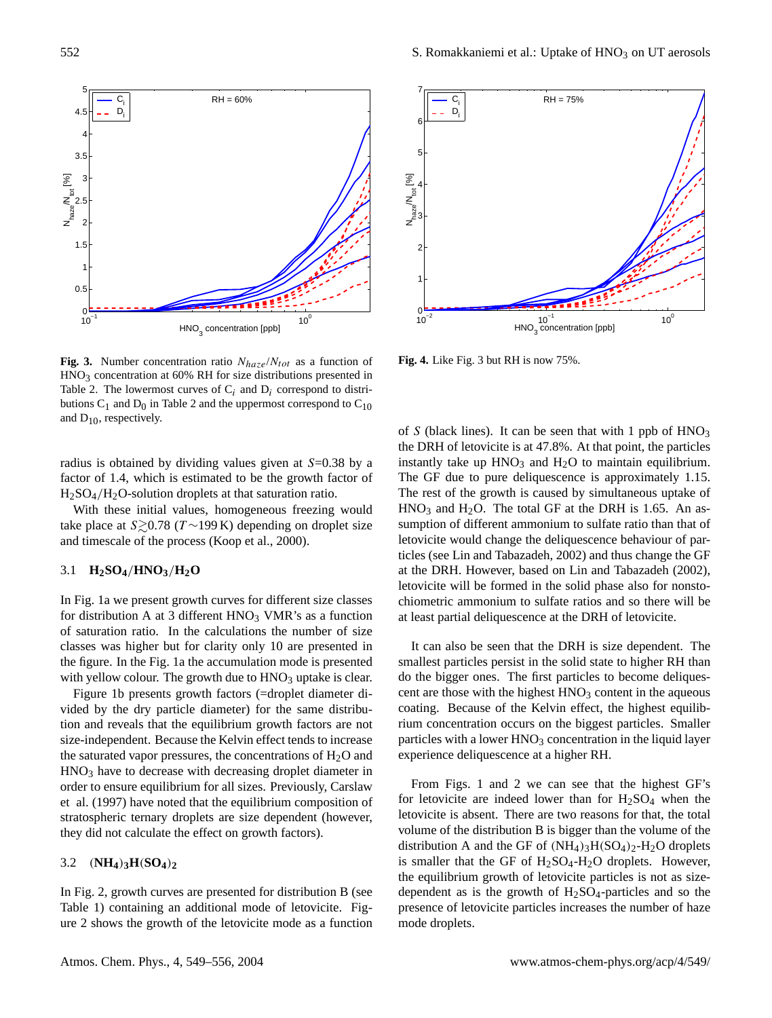

**Fig. 3.** Number concentration ratio  $N_{haze}/N_{tot}$  as a function of HNO<sub>3</sub> concentration at 60% RH for size distributions presented in Table 2. The lowermost curves of  $C_i$  and  $D_i$  correspond to distributions  $C_1$  and  $D_0$  in Table 2 and the uppermost correspond to  $C_{10}$ and  $D_{10}$ , respectively.

radius is obtained by dividing values given at S=0.38 by a factor of 1.4, which is estimated to be the growth factor of H2SO4/H2O-solution droplets at that saturation ratio.

With these initial values, homogeneous freezing would take place at  $S \gtrsim 0.78$  (T ∼199 K) depending on droplet size and timescale of the process (Koop et al., 2000).

## 3.1 **H2SO4**/**HNO3**/**H2O**

In Fig. 1a we present growth curves for different size classes for distribution A at 3 different  $HNO<sub>3</sub>$  VMR's as a function of saturation ratio. In the calculations the number of size classes was higher but for clarity only 10 are presented in the figure. In the Fig. 1a the accumulation mode is presented with yellow colour. The growth due to  $HNO<sub>3</sub>$  uptake is clear.

Figure 1b presents growth factors (=droplet diameter divided by the dry particle diameter) for the same distribution and reveals that the equilibrium growth factors are not size-independent. Because the Kelvin effect tends to increase the saturated vapor pressures, the concentrations of  $H_2O$  and HNO<sup>3</sup> have to decrease with decreasing droplet diameter in order to ensure equilibrium for all sizes. Previously, Carslaw et al. (1997) have noted that the equilibrium composition of stratospheric ternary droplets are size dependent (however, they did not calculate the effect on growth factors).

# 3.2 (**NH4**)**3H**(**SO4**)**<sup>2</sup>**

In Fig. 2, growth curves are presented for distribution B (see Table 1) containing an additional mode of letovicite. Figure 2 shows the growth of the letovicite mode as a function



**Fig. 4.** Like Fig. 3 but RH is now 75%.

of S (black lines). It can be seen that with 1 ppb of  $HNO<sub>3</sub>$ the DRH of letovicite is at 47.8%. At that point, the particles instantly take up  $HNO<sub>3</sub>$  and  $H<sub>2</sub>O$  to maintain equilibrium. The GF due to pure deliquescence is approximately 1.15. The rest of the growth is caused by simultaneous uptake of  $HNO<sub>3</sub>$  and  $H<sub>2</sub>O$ . The total GF at the DRH is 1.65. An assumption of different ammonium to sulfate ratio than that of letovicite would change the deliquescence behaviour of particles (see Lin and Tabazadeh, 2002) and thus change the GF at the DRH. However, based on Lin and Tabazadeh (2002), letovicite will be formed in the solid phase also for nonstochiometric ammonium to sulfate ratios and so there will be at least partial deliquescence at the DRH of letovicite.

It can also be seen that the DRH is size dependent. The smallest particles persist in the solid state to higher RH than do the bigger ones. The first particles to become deliquescent are those with the highest  $HNO<sub>3</sub>$  content in the aqueous coating. Because of the Kelvin effect, the highest equilibrium concentration occurs on the biggest particles. Smaller particles with a lower  $HNO<sub>3</sub>$  concentration in the liquid layer experience deliquescence at a higher RH.

From Figs. 1 and 2 we can see that the highest GF's for letovicite are indeed lower than for  $H<sub>2</sub>SO<sub>4</sub>$  when the letovicite is absent. There are two reasons for that, the total volume of the distribution B is bigger than the volume of the distribution A and the GF of  $(NH_4)_3H(SO_4)_2-H_2O$  droplets is smaller that the GF of  $H_2SO_4-H_2O$  droplets. However, the equilibrium growth of letovicite particles is not as sizedependent as is the growth of  $H_2SO_4$ -particles and so the presence of letovicite particles increases the number of haze mode droplets.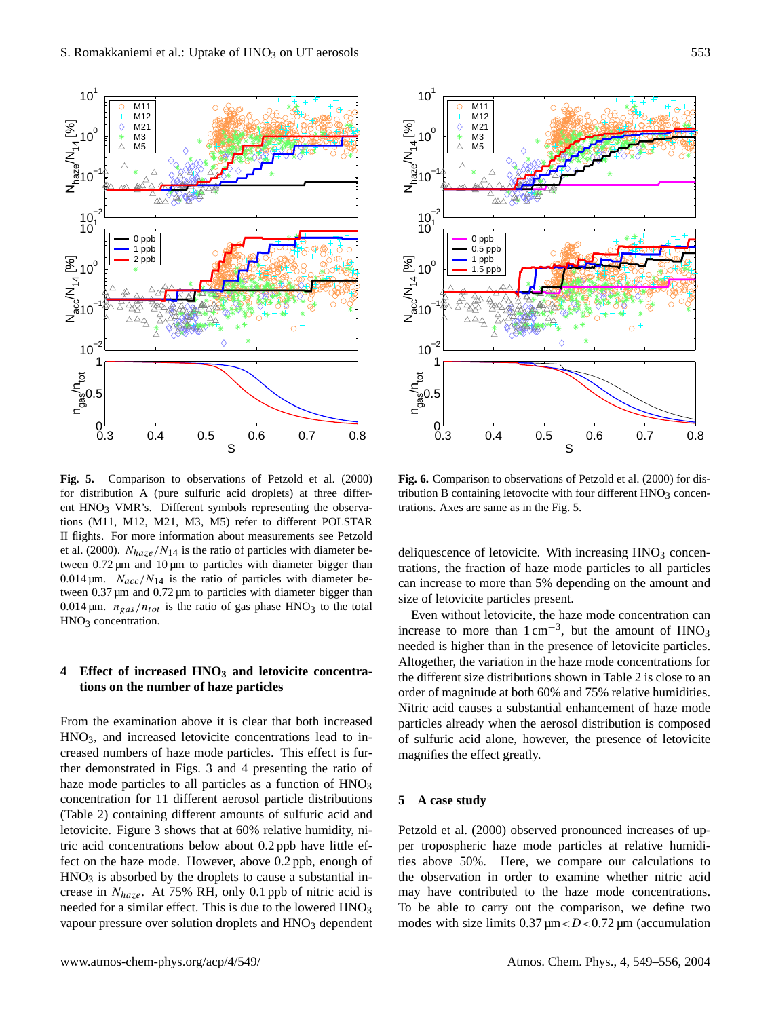

**Fig. 5.** Comparison to observations of Petzold et al. (2000) for distribution A (pure sulfuric acid droplets) at three different  $HNO<sub>3</sub>$  VMR's. Different symbols representing the observations (M11, M12, M21, M3, M5) refer to different POLSTAR II flights. For more information about measurements see Petzold et al. (2000).  $N_{haze}/N_{14}$  is the ratio of particles with diameter between  $0.72 \,\mu m$  and  $10 \,\mu m$  to particles with diameter bigger than 0.014  $\mu$ m.  $N_{acc}/N_{14}$  is the ratio of particles with diameter between 0.37 µm and 0.72 µm to particles with diameter bigger than 0.014  $\mu$ m.  $n_{gas}/n_{tot}$  is the ratio of gas phase HNO<sub>3</sub> to the total  $HNO<sub>3</sub>$  concentration.

# **4 Effect of increased HNO<sup>3</sup> and letovicite concentrations on the number of haze particles**

From the examination above it is clear that both increased HNO3, and increased letovicite concentrations lead to increased numbers of haze mode particles. This effect is further demonstrated in Figs. 3 and 4 presenting the ratio of haze mode particles to all particles as a function of  $HNO<sub>3</sub>$ concentration for 11 different aerosol particle distributions (Table 2) containing different amounts of sulfuric acid and letovicite. Figure 3 shows that at 60% relative humidity, nitric acid concentrations below about 0.2 ppb have little effect on the haze mode. However, above 0.2 ppb, enough of  $HNO<sub>3</sub>$  is absorbed by the droplets to cause a substantial increase in  $N_{haze}$ . At 75% RH, only 0.1 ppb of nitric acid is needed for a similar effect. This is due to the lowered  $HNO<sub>3</sub>$ vapour pressure over solution droplets and HNO<sub>3</sub> dependent



**Fig. 6.** Comparison to observations of Petzold et al. (2000) for distribution B containing letovocite with four different  $HNO<sub>3</sub>$  concentrations. Axes are same as in the Fig. 5.

deliquescence of letovicite. With increasing  $HNO<sub>3</sub>$  concentrations, the fraction of haze mode particles to all particles can increase to more than 5% depending on the amount and size of letovicite particles present.

Even without letovicite, the haze mode concentration can increase to more than  $1 \text{ cm}^{-3}$ , but the amount of  $HNO<sub>3</sub>$ needed is higher than in the presence of letovicite particles. Altogether, the variation in the haze mode concentrations for the different size distributions shown in Table 2 is close to an order of magnitude at both 60% and 75% relative humidities. Nitric acid causes a substantial enhancement of haze mode particles already when the aerosol distribution is composed of sulfuric acid alone, however, the presence of letovicite magnifies the effect greatly.

#### **5 A case study**

Petzold et al. (2000) observed pronounced increases of upper tropospheric haze mode particles at relative humidities above 50%. Here, we compare our calculations to the observation in order to examine whether nitric acid may have contributed to the haze mode concentrations. To be able to carry out the comparison, we define two modes with size limits  $0.37 \mu m < D < 0.72 \mu m$  (accumulation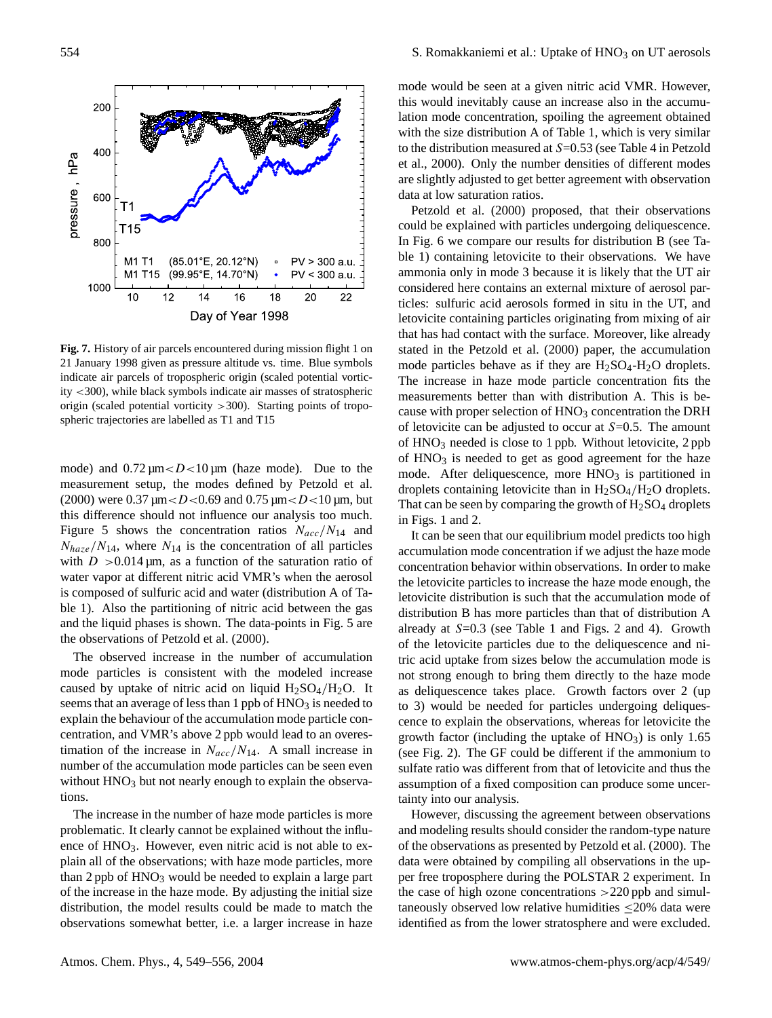

**Fig. 7.** History of air parcels encountered during mission flight 1 on 21 January 1998 given as pressure altitude vs. time. Blue symbols indicate air parcels of tropospheric origin (scaled potential vorticity <300), while black symbols indicate air masses of stratospheric origin (scaled potential vorticity >300). Starting points of tropospheric trajectories are labelled as T1 and T15

mode) and  $0.72 \mu m < D < 10 \mu m$  (haze mode). Due to the measurement setup, the modes defined by Petzold et al. (2000) were 0.37  $\mu$ m < D < 0.69 and 0.75  $\mu$ m < D < 10  $\mu$ m, but this difference should not influence our analysis too much. Figure 5 shows the concentration ratios  $N_{acc}/N_{14}$  and  $N_{haze}/N_{14}$ , where  $N_{14}$  is the concentration of all particles with  $D > 0.014 \,\text{\mu m}$ , as a function of the saturation ratio of water vapor at different nitric acid VMR's when the aerosol is composed of sulfuric acid and water (distribution A of Table 1). Also the partitioning of nitric acid between the gas and the liquid phases is shown. The data-points in Fig. 5 are the observations of Petzold et al. (2000).

The observed increase in the number of accumulation mode particles is consistent with the modeled increase caused by uptake of nitric acid on liquid  $H_2SO_4/H_2O$ . It seems that an average of less than 1 ppb of  $HNO<sub>3</sub>$  is needed to explain the behaviour of the accumulation mode particle concentration, and VMR's above 2 ppb would lead to an overestimation of the increase in  $N_{acc}/N_{14}$ . A small increase in number of the accumulation mode particles can be seen even without HNO<sub>3</sub> but not nearly enough to explain the observations.

The increase in the number of haze mode particles is more problematic. It clearly cannot be explained without the influence of HNO<sub>3</sub>. However, even nitric acid is not able to explain all of the observations; with haze mode particles, more than  $2$  ppb of  $HNO<sub>3</sub>$  would be needed to explain a large part of the increase in the haze mode. By adjusting the initial size distribution, the model results could be made to match the observations somewhat better, i.e. a larger increase in haze mode would be seen at a given nitric acid VMR. However, this would inevitably cause an increase also in the accumulation mode concentration, spoiling the agreement obtained with the size distribution A of Table 1, which is very similar to the distribution measured at S=0.53 (see Table 4 in Petzold et al., 2000). Only the number densities of different modes are slightly adjusted to get better agreement with observation data at low saturation ratios.

Petzold et al. (2000) proposed, that their observations could be explained with particles undergoing deliquescence. In Fig. 6 we compare our results for distribution B (see Table 1) containing letovicite to their observations. We have ammonia only in mode 3 because it is likely that the UT air considered here contains an external mixture of aerosol particles: sulfuric acid aerosols formed in situ in the UT, and letovicite containing particles originating from mixing of air that has had contact with the surface. Moreover, like already stated in the Petzold et al. (2000) paper, the accumulation mode particles behave as if they are  $H_2SO_4-H_2O$  droplets. The increase in haze mode particle concentration fits the measurements better than with distribution A. This is because with proper selection of HNO<sub>3</sub> concentration the DRH of letovicite can be adjusted to occur at  $S=0.5$ . The amount of HNO<sup>3</sup> needed is close to 1 ppb. Without letovicite, 2 ppb of  $HNO<sub>3</sub>$  is needed to get as good agreement for the haze mode. After deliquescence, more  $HNO<sub>3</sub>$  is partitioned in droplets containing letovicite than in  $H_2SO_4/H_2O$  droplets. That can be seen by comparing the growth of  $H<sub>2</sub>SO<sub>4</sub>$  droplets in Figs. 1 and 2.

It can be seen that our equilibrium model predicts too high accumulation mode concentration if we adjust the haze mode concentration behavior within observations. In order to make the letovicite particles to increase the haze mode enough, the letovicite distribution is such that the accumulation mode of distribution B has more particles than that of distribution A already at  $S=0.3$  (see Table 1 and Figs. 2 and 4). Growth of the letovicite particles due to the deliquescence and nitric acid uptake from sizes below the accumulation mode is not strong enough to bring them directly to the haze mode as deliquescence takes place. Growth factors over 2 (up to 3) would be needed for particles undergoing deliquescence to explain the observations, whereas for letovicite the growth factor (including the uptake of  $HNO<sub>3</sub>$ ) is only 1.65 (see Fig. 2). The GF could be different if the ammonium to sulfate ratio was different from that of letovicite and thus the assumption of a fixed composition can produce some uncertainty into our analysis.

However, discussing the agreement between observations and modeling results should consider the random-type nature of the observations as presented by Petzold et al. (2000). The data were obtained by compiling all observations in the upper free troposphere during the POLSTAR 2 experiment. In the case of high ozone concentrations  $>220$  ppb and simultaneously observed low relative humidities ≤20% data were identified as from the lower stratosphere and were excluded.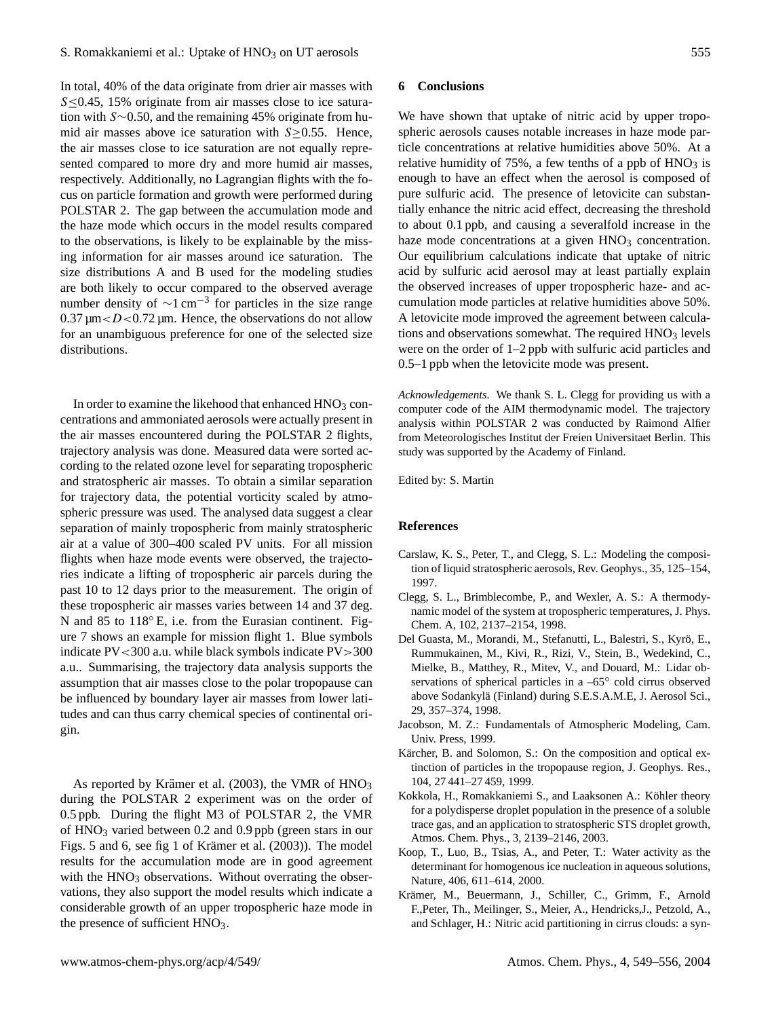In total, 40% of the data originate from drier air masses with S < 0.45, 15% originate from air masses close to ice saturation with S∼0.50, and the remaining 45% originate from humid air masses above ice saturation with  $S \geq 0.55$ . Hence, the air masses close to ice saturation are not equally represented compared to more dry and more humid air masses, respectively. Additionally, no Lagrangian flights with the focus on particle formation and growth were performed during POLSTAR 2. The gap between the accumulation mode and the haze mode which occurs in the model results compared to the observations, is likely to be explainable by the missing information for air masses around ice saturation. The size distributions A and B used for the modeling studies are both likely to occur compared to the observed average number density of  $\sim 1 \text{ cm}^{-3}$  for particles in the size range  $0.37 \mu m < D < 0.72 \mu m$ . Hence, the observations do not allow for an unambiguous preference for one of the selected size distributions.

In order to examine the likehood that enhanced  $HNO<sub>3</sub>$  concentrations and ammoniated aerosols were actually present in the air masses encountered during the POLSTAR 2 flights, trajectory analysis was done. Measured data were sorted according to the related ozone level for separating tropospheric and stratospheric air masses. To obtain a similar separation for trajectory data, the potential vorticity scaled by atmospheric pressure was used. The analysed data suggest a clear separation of mainly tropospheric from mainly stratospheric air at a value of 300–400 scaled PV units. For all mission flights when haze mode events were observed, the trajectories indicate a lifting of tropospheric air parcels during the past 10 to 12 days prior to the measurement. The origin of these tropospheric air masses varies between 14 and 37 deg. N and 85 to 118◦ E, i.e. from the Eurasian continent. Figure 7 shows an example for mission flight 1. Blue symbols indicate PV<300 a.u. while black symbols indicate PV>300 a.u.. Summarising, the trajectory data analysis supports the assumption that air masses close to the polar tropopause can be influenced by boundary layer air masses from lower latitudes and can thus carry chemical species of continental origin.

As reported by Krämer et al. (2003), the VMR of  $HNO<sub>3</sub>$ during the POLSTAR 2 experiment was on the order of 0.5 ppb. During the flight M3 of POLSTAR 2, the VMR of HNO<sup>3</sup> varied between 0.2 and 0.9 ppb (green stars in our Figs. 5 and 6, see fig 1 of Krämer et al.  $(2003)$ ). The model results for the accumulation mode are in good agreement with the  $HNO<sub>3</sub>$  observations. Without overrating the observations, they also support the model results which indicate a considerable growth of an upper tropospheric haze mode in the presence of sufficient HNO<sub>3</sub>.

#### **6 Conclusions**

We have shown that uptake of nitric acid by upper tropospheric aerosols causes notable increases in haze mode particle concentrations at relative humidities above 50%. At a relative humidity of 75%, a few tenths of a ppb of  $HNO<sub>3</sub>$  is enough to have an effect when the aerosol is composed of pure sulfuric acid. The presence of letovicite can substantially enhance the nitric acid effect, decreasing the threshold to about 0.1 ppb, and causing a severalfold increase in the haze mode concentrations at a given  $HNO<sub>3</sub>$  concentration. Our equilibrium calculations indicate that uptake of nitric acid by sulfuric acid aerosol may at least partially explain the observed increases of upper tropospheric haze- and accumulation mode particles at relative humidities above 50%. A letovicite mode improved the agreement between calculations and observations somewhat. The required  $HNO<sub>3</sub>$  levels were on the order of 1–2 ppb with sulfuric acid particles and 0.5–1 ppb when the letovicite mode was present.

*Acknowledgements.* We thank S. L. Clegg for providing us with a computer code of the AIM thermodynamic model. The trajectory analysis within POLSTAR 2 was conducted by Raimond Alfier from Meteorologisches Institut der Freien Universitaet Berlin. This study was supported by the Academy of Finland.

Edited by: S. Martin

#### **References**

- Carslaw, K. S., Peter, T., and Clegg, S. L.: Modeling the composition of liquid stratospheric aerosols, Rev. Geophys., 35, 125–154, 1997.
- Clegg, S. L., Brimblecombe, P., and Wexler, A. S.: A thermodynamic model of the system at tropospheric temperatures, J. Phys. Chem. A, 102, 2137–2154, 1998.
- Del Guasta, M., Morandi, M., Stefanutti, L., Balestri, S., Kyro, E., ¨ Rummukainen, M., Kivi, R., Rizi, V., Stein, B., Wedekind, C., Mielke, B., Matthey, R., Mitev, V., and Douard, M.: Lidar observations of spherical particles in a −65<sup>°</sup> cold cirrus observed above Sodankyla (Finland) during S.E.S.A.M.E, J. Aerosol Sci., ¨ 29, 357–374, 1998.
- Jacobson, M. Z.: Fundamentals of Atmospheric Modeling, Cam. Univ. Press, 1999.
- Kärcher, B. and Solomon, S.: On the composition and optical extinction of particles in the tropopause region, J. Geophys. Res., 104, 27 441–27 459, 1999.
- Kokkola, H., Romakkaniemi S., and Laaksonen A.: Köhler theory for a polydisperse droplet population in the presence of a soluble trace gas, and an application to stratospheric STS droplet growth, Atmos. Chem. Phys., 3, 2139–2146, 2003.
- Koop, T., Luo, B., Tsias, A., and Peter, T.: Water activity as the determinant for homogenous ice nucleation in aqueous solutions, Nature, 406, 611–614, 2000.
- Krämer, M., Beuermann, J., Schiller, C., Grimm, F., Arnold F.,Peter, Th., Meilinger, S., Meier, A., Hendricks,J., Petzold, A., and Schlager, H.: Nitric acid partitioning in cirrus clouds: a syn-